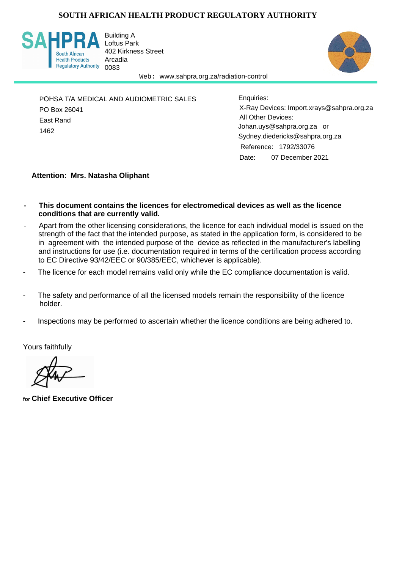## **SOUTH AFRICAN HEALTH PRODUCT REGULATORY AUTHORITY**



Building A Loftus Park 402 Kirkness Street Arcadia



Web: www.sahpra.org.za/radiation-control

POHSA T/A MEDICAL AND AUDIOMETRIC SALES PO Box 26041 East Rand 1462

Date: 07 December 2021 X-Ray Devices: Import.xrays@sahpra.org.za All Other Devices: Sydney.diedericks@sahpra.org.za Reference: 1792/33076 Johan.uys@sahpra.org.za or Enquiries:

#### **Attention: Mrs. Natasha Oliphant**

- **This document contains the licences for electromedical devices as well as the licence conditions that are currently valid.**
- Apart from the other licensing considerations, the licence for each individual model is issued on the strength of the fact that the intended purpose, as stated in the application form, is considered to be in agreement with the intended purpose of the device as reflected in the manufacturer's labelling and instructions for use (i.e. documentation required in terms of the certification process according to EC Directive 93/42/EEC or 90/385/EEC, whichever is applicable).
- The licence for each model remains valid only while the EC compliance documentation is valid.
- The safety and performance of all the licensed models remain the responsibility of the licence holder.
- Inspections may be performed to ascertain whether the licence conditions are being adhered to.

Yours faithfully

**for Chief Executive Officer**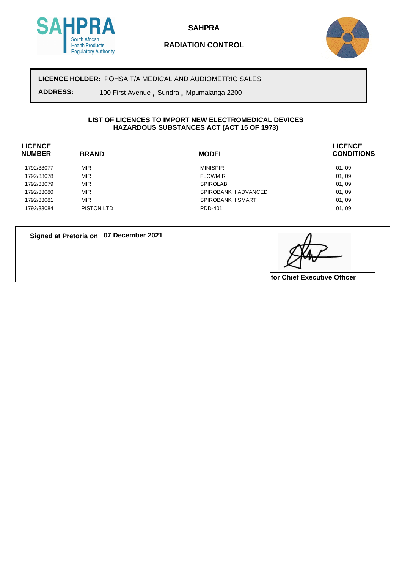

**SAHPRA**

## **RADIATION CONTROL**



**LICENCE HOLDER:** POHSA T/A MEDICAL AND AUDIOMETRIC SALES

**ADDRESS:** 100 First Avenue **,** Sundra **,** Mpumalanga 2200

#### **LIST OF LICENCES TO IMPORT NEW ELECTROMEDICAL DEVICES HAZARDOUS SUBSTANCES ACT (ACT 15 OF 1973)**

| <b>LICENCE</b><br><b>NUMBER</b> | <b>BRAND</b> | <b>MODEL</b>              | <b>LICENCE</b><br><b>CONDITIONS</b> |
|---------------------------------|--------------|---------------------------|-------------------------------------|
| 1792/33077                      | <b>MIR</b>   | <b>MINISPIR</b>           | 01, 09                              |
| 1792/33078                      | <b>MIR</b>   | <b>FLOWMIR</b>            | 01, 09                              |
| 1792/33079                      | <b>MIR</b>   | <b>SPIROLAB</b>           | 01, 09                              |
| 1792/33080                      | <b>MIR</b>   | SPIROBANK II ADVANCED     | 01, 09                              |
| 1792/33081                      | <b>MIR</b>   | <b>SPIROBANK II SMART</b> | 01, 09                              |
| 1792/33084                      | PISTON LTD   | PDD-401                   | 01, 09                              |

**Signed at Pretoria on 07 December 2021**

**for Chief Executive Officer**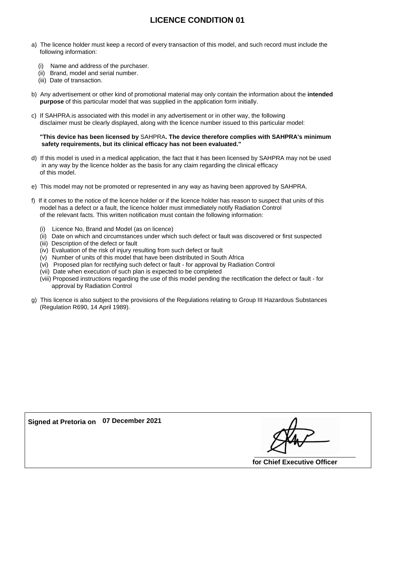# **LICENCE CONDITION 01**

- a) The licence holder must keep a record of every transaction of this model, and such record must include the following information:
	- (i) Name and address of the purchaser.
	- (ii) Brand, model and serial number.
	- (iii) Date of transaction.
- b) Any advertisement or other kind of promotional material may only contain the information about the **intended purpose** of this particular model that was supplied in the application form initially.
- c) If SAHPRA.is associated with this model in any advertisement or in other way, the following disclaimer must be clearly displayed, along with the licence number issued to this particular model:

#### **"This device has been licensed by** SAHPRA**. The device therefore complies with SAHPRA's minimum safety requirements, but its clinical efficacy has not been evaluated."**

- d) If this model is used in a medical application, the fact that it has been licensed by SAHPRA may not be used in any way by the licence holder as the basis for any claim regarding the clinical efficacy of this model.
- e) This model may not be promoted or represented in any way as having been approved by SAHPRA.
- f) If it comes to the notice of the licence holder or if the licence holder has reason to suspect that units of this model has a defect or a fault, the licence holder must immediately notify Radiation Control of the relevant facts. This written notification must contain the following information:
	- (i) Licence No, Brand and Model (as on licence)
	- (ii) Date on which and circumstances under which such defect or fault was discovered or first suspected
	- (iii) Description of the defect or fault
	- (iv) Evaluation of the risk of injury resulting from such defect or fault
	- (v) Number of units of this model that have been distributed in South Africa
	- (vi) Proposed plan for rectifying such defect or fault for approval by Radiation Control
	- (vii) Date when execution of such plan is expected to be completed
	- (viii) Proposed instructions regarding the use of this model pending the rectification the defect or fault for approval by Radiation Control
- g) This licence is also subject to the provisions of the Regulations relating to Group III Hazardous Substances (Regulation R690, 14 April 1989).

**Signed at Pretoria on 07 December 2021**

**for Chief Executive Officer**